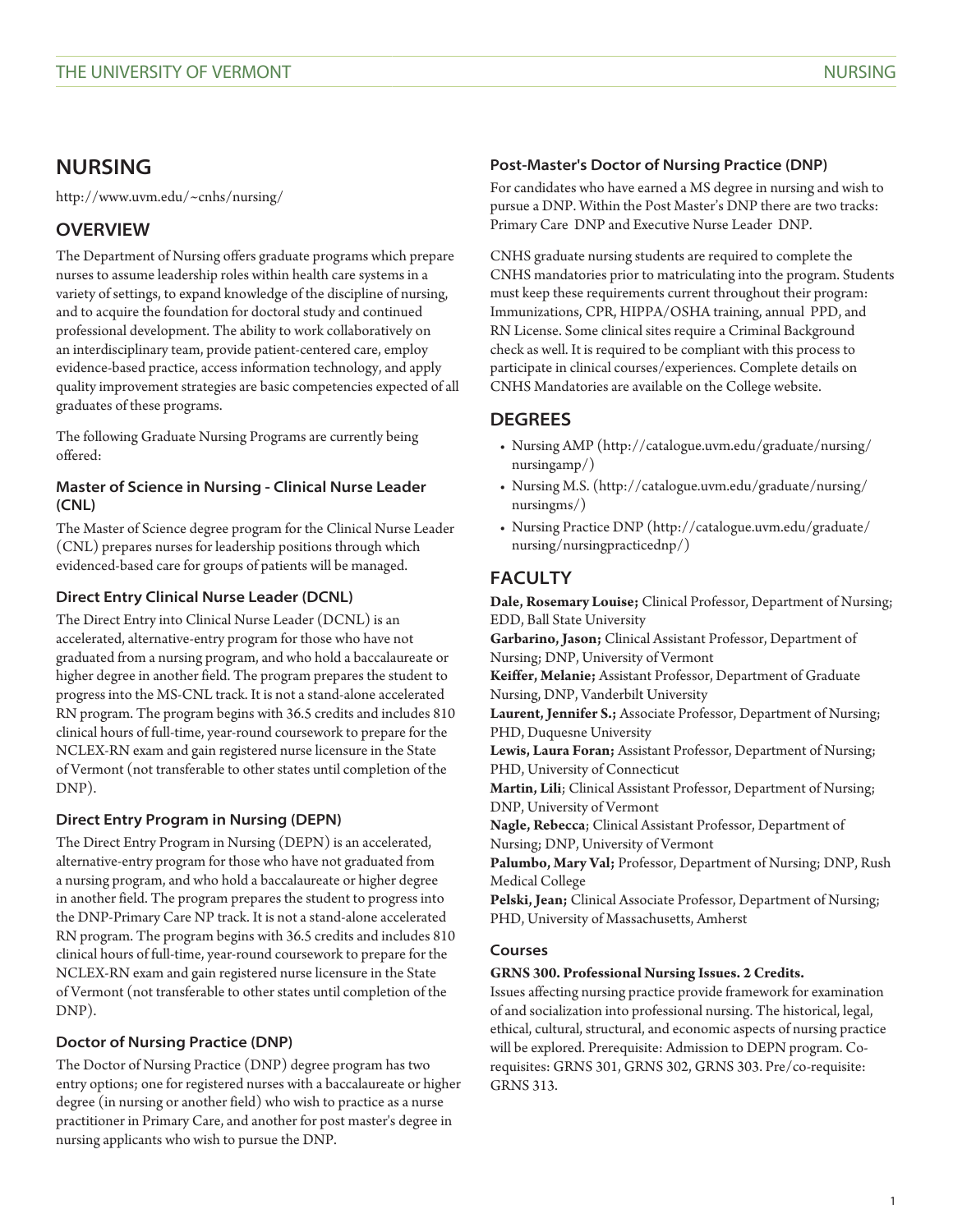# **NURSING**

<http://www.uvm.edu/~cnhs/nursing/>

# **OVERVIEW**

The Department of Nursing offers graduate programs which prepare nurses to assume leadership roles within health care systems in a variety of settings, to expand knowledge of the discipline of nursing, and to acquire the foundation for doctoral study and continued professional development. The ability to work collaboratively on an interdisciplinary team, provide patient-centered care, employ evidence-based practice, access information technology, and apply quality improvement strategies are basic competencies expected of all graduates of these programs.

The following Graduate Nursing Programs are currently being offered:

## **Master of Science in Nursing - Clinical Nurse Leader (CNL)**

The Master of Science degree program for the Clinical Nurse Leader (CNL) prepares nurses for leadership positions through which evidenced-based care for groups of patients will be managed.

## **Direct Entry Clinical Nurse Leader (DCNL)**

The Direct Entry into Clinical Nurse Leader (DCNL) is an accelerated, alternative-entry program for those who have not graduated from a nursing program, and who hold a baccalaureate or higher degree in another field. The program prepares the student to progress into the MS-CNL track. It is not a stand-alone accelerated RN program. The program begins with 36.5 credits and includes 810 clinical hours of full-time, year-round coursework to prepare for the NCLEX-RN exam and gain registered nurse licensure in the State of Vermont (not transferable to other states until completion of the DNP).

# **Direct Entry Program in Nursing (DEPN)**

The Direct Entry Program in Nursing (DEPN) is an accelerated, alternative-entry program for those who have not graduated from a nursing program, and who hold a baccalaureate or higher degree in another field. The program prepares the student to progress into the DNP-Primary Care NP track. It is not a stand-alone accelerated RN program. The program begins with 36.5 credits and includes 810 clinical hours of full-time, year-round coursework to prepare for the NCLEX-RN exam and gain registered nurse licensure in the State of Vermont (not transferable to other states until completion of the DNP).

# **Doctor of Nursing Practice (DNP)**

The Doctor of Nursing Practice (DNP) degree program has two entry options; one for registered nurses with a baccalaureate or higher degree (in nursing or another field) who wish to practice as a nurse practitioner in Primary Care, and another for post master's degree in nursing applicants who wish to pursue the DNP.

## **Post-Master's Doctor of Nursing Practice (DNP)**

For candidates who have earned a MS degree in nursing and wish to pursue a DNP. Within the Post Master's DNP there are two tracks: Primary Care DNP and Executive Nurse Leader DNP.

CNHS graduate nursing students are required to complete the CNHS mandatories prior to matriculating into the program. Students must keep these requirements current throughout their program: Immunizations, CPR, HIPPA/OSHA training, annual PPD, and RN License. Some clinical sites require a Criminal Background check as well. It is required to be compliant with this process to participate in clinical courses/experiences. Complete details on CNHS Mandatories are available on the College website.

# **DEGREES**

- [Nursing AMP](http://catalogue.uvm.edu/graduate/nursing/nursingamp/) ([http://catalogue.uvm.edu/graduate/nursing/](http://catalogue.uvm.edu/graduate/nursing/nursingamp/) [nursingamp/](http://catalogue.uvm.edu/graduate/nursing/nursingamp/))
- [Nursing M.S.](http://catalogue.uvm.edu/graduate/nursing/nursingms/) ([http://catalogue.uvm.edu/graduate/nursing/](http://catalogue.uvm.edu/graduate/nursing/nursingms/) [nursingms/\)](http://catalogue.uvm.edu/graduate/nursing/nursingms/)
- [Nursing Practice DNP](http://catalogue.uvm.edu/graduate/nursing/nursingpracticednp/) ([http://catalogue.uvm.edu/graduate/](http://catalogue.uvm.edu/graduate/nursing/nursingpracticednp/) [nursing/nursingpracticednp/](http://catalogue.uvm.edu/graduate/nursing/nursingpracticednp/))

# **FACULTY**

**Dale, Rosemary Louise;** Clinical Professor, Department of Nursing; EDD, Ball State University

**Garbarino, Jason;** Clinical Assistant Professor, Department of Nursing; DNP, University of Vermont

**Keiffer, Melanie;** Assistant Professor, Department of Graduate Nursing, DNP, Vanderbilt University

**Laurent, Jennifer S.;** Associate Professor, Department of Nursing; PHD, Duquesne University

**Lewis, Laura Foran;** Assistant Professor, Department of Nursing; PHD, University of Connecticut

**Martin, Lili**; Clinical Assistant Professor, Department of Nursing; DNP, University of Vermont

**Nagle, Rebecca**; Clinical Assistant Professor, Department of Nursing; DNP, University of Vermont

**Palumbo, Mary Val;** Professor, Department of Nursing; DNP, Rush Medical College

**Pelski, Jean;** Clinical Associate Professor, Department of Nursing; PHD, University of Massachusetts, Amherst

## **Courses**

## **GRNS 300. Professional Nursing Issues. 2 Credits.**

Issues affecting nursing practice provide framework for examination of and socialization into professional nursing. The historical, legal, ethical, cultural, structural, and economic aspects of nursing practice will be explored. Prerequisite: Admission to DEPN program. Corequisites: GRNS 301, [GRNS 302,](/search/?P=GRNS%20302) [GRNS 303](/search/?P=GRNS%20303). Pre/co-requisite: GRNS 313.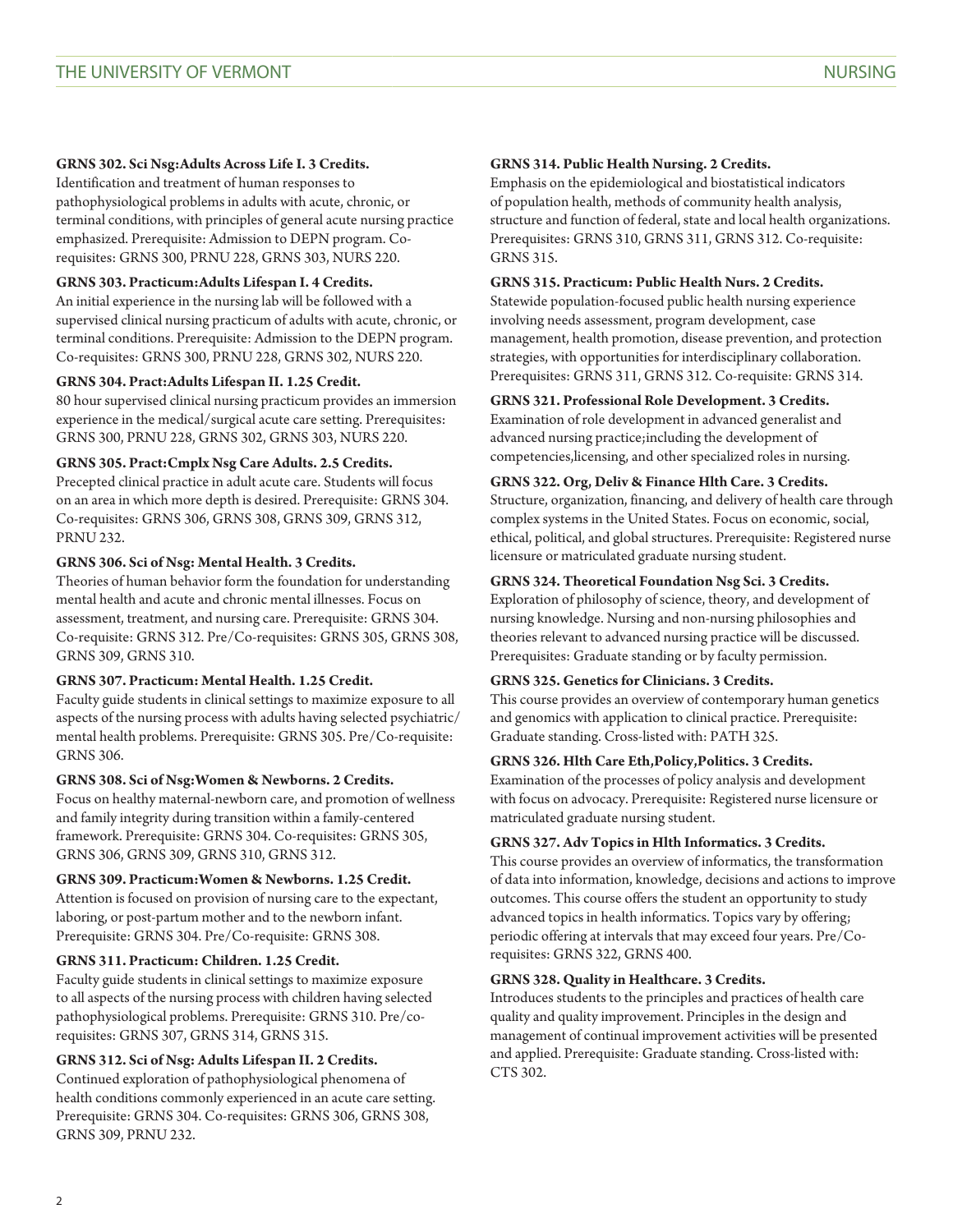## **GRNS 302. Sci Nsg:Adults Across Life I. 3 Credits.**

Identification and treatment of human responses to pathophysiological problems in adults with acute, chronic, or terminal conditions, with principles of general acute nursing practice emphasized. Prerequisite: Admission to DEPN program. Corequisites: [GRNS 300](/search/?P=GRNS%20300), [PRNU 228](/search/?P=PRNU%20228), [GRNS 303,](/search/?P=GRNS%20303) [NURS 220](/search/?P=NURS%20220).

## **GRNS 303. Practicum:Adults Lifespan I. 4 Credits.**

An initial experience in the nursing lab will be followed with a supervised clinical nursing practicum of adults with acute, chronic, or terminal conditions. Prerequisite: Admission to the DEPN program. Co-requisites: [GRNS 300,](/search/?P=GRNS%20300) [PRNU 228,](/search/?P=PRNU%20228) [GRNS 302](/search/?P=GRNS%20302), [NURS 220.](/search/?P=NURS%20220)

## **GRNS 304. Pract:Adults Lifespan II. 1.25 Credit.**

80 hour supervised clinical nursing practicum provides an immersion experience in the medical/surgical acute care setting. Prerequisites: [GRNS 300,](/search/?P=GRNS%20300) [PRNU 228,](/search/?P=PRNU%20228) [GRNS 302](/search/?P=GRNS%20302), [GRNS 303](/search/?P=GRNS%20303), [NURS 220.](/search/?P=NURS%20220)

## **GRNS 305. Pract:Cmplx Nsg Care Adults. 2.5 Credits.**

Precepted clinical practice in adult acute care. Students will focus on an area in which more depth is desired. Prerequisite: [GRNS 304](/search/?P=GRNS%20304). Co-requisites: [GRNS 306,](/search/?P=GRNS%20306) [GRNS 308](/search/?P=GRNS%20308), [GRNS 309,](/search/?P=GRNS%20309) [GRNS 312,](/search/?P=GRNS%20312) [PRNU 232](/search/?P=PRNU%20232).

## **GRNS 306. Sci of Nsg: Mental Health. 3 Credits.**

Theories of human behavior form the foundation for understanding mental health and acute and chronic mental illnesses. Focus on assessment, treatment, and nursing care. Prerequisite: [GRNS 304.](/search/?P=GRNS%20304) Co-requisite: [GRNS 312](/search/?P=GRNS%20312). Pre/Co-requisites: [GRNS 305](/search/?P=GRNS%20305), [GRNS 308,](/search/?P=GRNS%20308) [GRNS 309,](/search/?P=GRNS%20309) GRNS 310.

## **GRNS 307. Practicum: Mental Health. 1.25 Credit.**

Faculty guide students in clinical settings to maximize exposure to all aspects of the nursing process with adults having selected psychiatric/ mental health problems. Prerequisite: [GRNS 305](/search/?P=GRNS%20305). Pre/Co-requisite: [GRNS 306.](/search/?P=GRNS%20306)

## **GRNS 308. Sci of Nsg:Women & Newborns. 2 Credits.**

Focus on healthy maternal-newborn care, and promotion of wellness and family integrity during transition within a family-centered framework. Prerequisite: [GRNS 304](/search/?P=GRNS%20304). Co-requisites: [GRNS 305,](/search/?P=GRNS%20305) [GRNS 306,](/search/?P=GRNS%20306) [GRNS 309,](/search/?P=GRNS%20309) GRNS 310, [GRNS 312.](/search/?P=GRNS%20312)

## **GRNS 309. Practicum:Women & Newborns. 1.25 Credit.**

Attention is focused on provision of nursing care to the expectant, laboring, or post-partum mother and to the newborn infant. Prerequisite: [GRNS 304.](/search/?P=GRNS%20304) Pre/Co-requisite: [GRNS 308](/search/?P=GRNS%20308).

## **GRNS 311. Practicum: Children. 1.25 Credit.**

Faculty guide students in clinical settings to maximize exposure to all aspects of the nursing process with children having selected pathophysiological problems. Prerequisite: GRNS 310. Pre/corequisites: [GRNS 307](/search/?P=GRNS%20307), [GRNS 314,](/search/?P=GRNS%20314) [GRNS 315](/search/?P=GRNS%20315).

## **GRNS 312. Sci of Nsg: Adults Lifespan II. 2 Credits.**

Continued exploration of pathophysiological phenomena of health conditions commonly experienced in an acute care setting. Prerequisite: [GRNS 304.](/search/?P=GRNS%20304) Co-requisites: [GRNS 306](/search/?P=GRNS%20306), [GRNS 308,](/search/?P=GRNS%20308) [GRNS 309,](/search/?P=GRNS%20309) [PRNU 232.](/search/?P=PRNU%20232)

#### **GRNS 314. Public Health Nursing. 2 Credits.**

Emphasis on the epidemiological and biostatistical indicators of population health, methods of community health analysis, structure and function of federal, state and local health organizations. Prerequisites: GRNS 310, [GRNS 311](/search/?P=GRNS%20311), [GRNS 312.](/search/?P=GRNS%20312) Co-requisite: [GRNS 315.](/search/?P=GRNS%20315)

## **GRNS 315. Practicum: Public Health Nurs. 2 Credits.**

Statewide population-focused public health nursing experience involving needs assessment, program development, case management, health promotion, disease prevention, and protection strategies, with opportunities for interdisciplinary collaboration. Prerequisites: [GRNS 311](/search/?P=GRNS%20311), [GRNS 312](/search/?P=GRNS%20312). Co-requisite: [GRNS 314.](/search/?P=GRNS%20314)

## **GRNS 321. Professional Role Development. 3 Credits.**

Examination of role development in advanced generalist and advanced nursing practice;including the development of competencies,licensing, and other specialized roles in nursing.

## **GRNS 322. Org, Deliv & Finance Hlth Care. 3 Credits.**

Structure, organization, financing, and delivery of health care through complex systems in the United States. Focus on economic, social, ethical, political, and global structures. Prerequisite: Registered nurse licensure or matriculated graduate nursing student.

## **GRNS 324. Theoretical Foundation Nsg Sci. 3 Credits.**

Exploration of philosophy of science, theory, and development of nursing knowledge. Nursing and non-nursing philosophies and theories relevant to advanced nursing practice will be discussed. Prerequisites: Graduate standing or by faculty permission.

## **GRNS 325. Genetics for Clinicians. 3 Credits.**

This course provides an overview of contemporary human genetics and genomics with application to clinical practice. Prerequisite: Graduate standing. Cross-listed with: [PATH 325](/search/?P=PATH%20325).

## **GRNS 326. Hlth Care Eth,Policy,Politics. 3 Credits.**

Examination of the processes of policy analysis and development with focus on advocacy. Prerequisite: Registered nurse licensure or matriculated graduate nursing student.

## **GRNS 327. Adv Topics in Hlth Informatics. 3 Credits.**

This course provides an overview of informatics, the transformation of data into information, knowledge, decisions and actions to improve outcomes. This course offers the student an opportunity to study advanced topics in health informatics. Topics vary by offering; periodic offering at intervals that may exceed four years. Pre/Corequisites: [GRNS 322](/search/?P=GRNS%20322), [GRNS 400.](/search/?P=GRNS%20400)

## **GRNS 328. Quality in Healthcare. 3 Credits.**

Introduces students to the principles and practices of health care quality and quality improvement. Principles in the design and management of continual improvement activities will be presented and applied. Prerequisite: Graduate standing. Cross-listed with: [CTS 302](/search/?P=CTS%20302).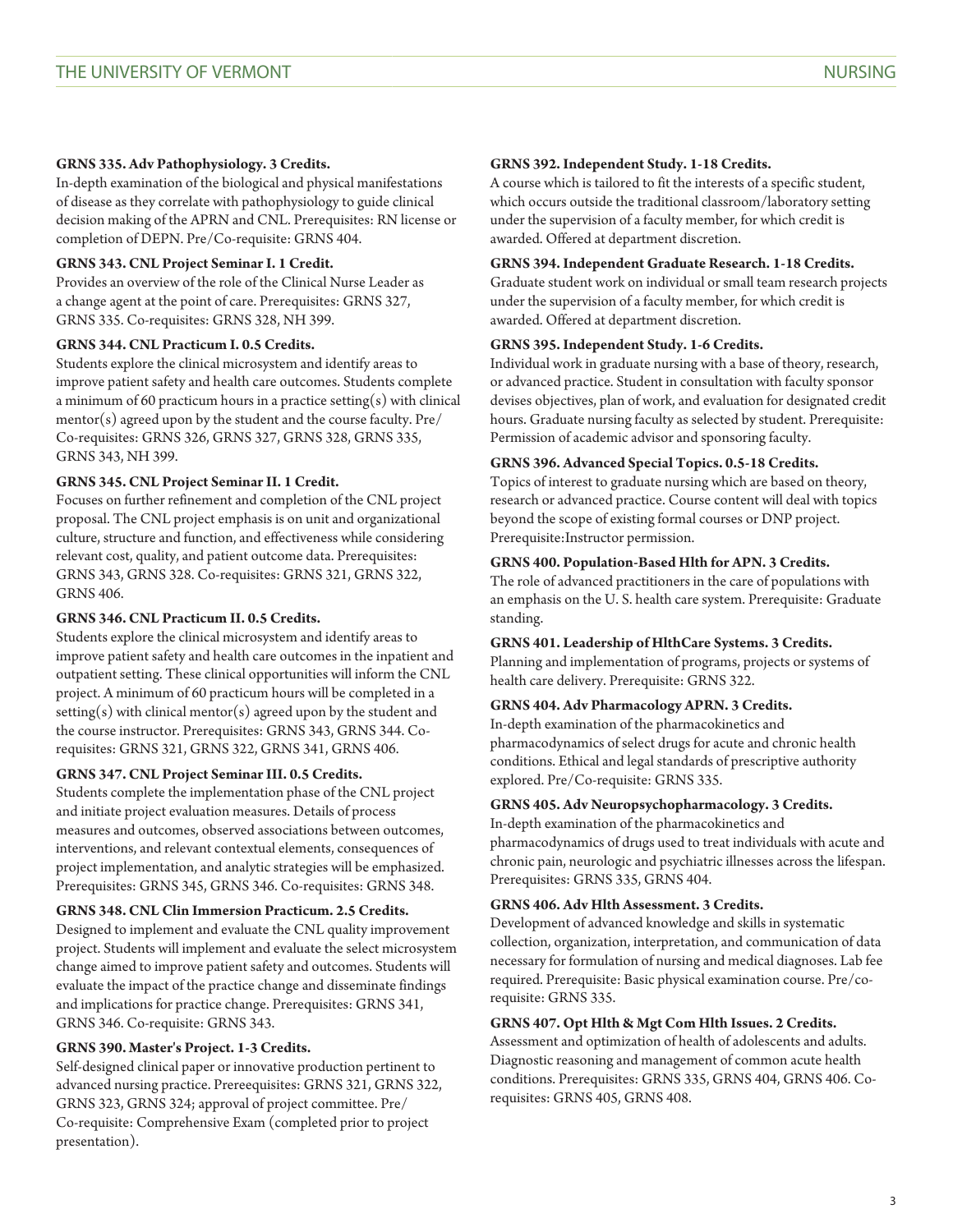## **GRNS 335. Adv Pathophysiology. 3 Credits.**

In-depth examination of the biological and physical manifestations of disease as they correlate with pathophysiology to guide clinical decision making of the APRN and CNL. Prerequisites: RN license or completion of DEPN. Pre/Co-requisite: [GRNS 404.](/search/?P=GRNS%20404)

## **GRNS 343. CNL Project Seminar I. 1 Credit.**

Provides an overview of the role of the Clinical Nurse Leader as a change agent at the point of care. Prerequisites: [GRNS 327,](/search/?P=GRNS%20327) [GRNS 335.](/search/?P=GRNS%20335) Co-requisites: [GRNS 328](/search/?P=GRNS%20328), [NH 399](/search/?P=NH%20399).

## **GRNS 344. CNL Practicum I. 0.5 Credits.**

Students explore the clinical microsystem and identify areas to improve patient safety and health care outcomes. Students complete a minimum of 60 practicum hours in a practice setting(s) with clinical mentor(s) agreed upon by the student and the course faculty. Pre/ Co-requisites: [GRNS 326,](/search/?P=GRNS%20326) [GRNS 327](/search/?P=GRNS%20327), [GRNS 328,](/search/?P=GRNS%20328) [GRNS 335,](/search/?P=GRNS%20335) [GRNS 343,](/search/?P=GRNS%20343) [NH 399](/search/?P=NH%20399).

## **GRNS 345. CNL Project Seminar II. 1 Credit.**

Focuses on further refinement and completion of the CNL project proposal. The CNL project emphasis is on unit and organizational culture, structure and function, and effectiveness while considering relevant cost, quality, and patient outcome data. Prerequisites: [GRNS 343,](/search/?P=GRNS%20343) [GRNS 328.](/search/?P=GRNS%20328) Co-requisites: [GRNS 321,](/search/?P=GRNS%20321) [GRNS 322,](/search/?P=GRNS%20322) [GRNS 406.](/search/?P=GRNS%20406)

## **GRNS 346. CNL Practicum II. 0.5 Credits.**

Students explore the clinical microsystem and identify areas to improve patient safety and health care outcomes in the inpatient and outpatient setting. These clinical opportunities will inform the CNL project. A minimum of 60 practicum hours will be completed in a setting(s) with clinical mentor(s) agreed upon by the student and the course instructor. Prerequisites: [GRNS 343,](/search/?P=GRNS%20343) [GRNS 344](/search/?P=GRNS%20344). Corequisites: [GRNS 321](/search/?P=GRNS%20321), [GRNS 322,](/search/?P=GRNS%20322) GRNS 341, [GRNS 406](/search/?P=GRNS%20406).

## **GRNS 347. CNL Project Seminar III. 0.5 Credits.**

Students complete the implementation phase of the CNL project and initiate project evaluation measures. Details of process measures and outcomes, observed associations between outcomes, interventions, and relevant contextual elements, consequences of project implementation, and analytic strategies will be emphasized. Prerequisites: [GRNS 345](/search/?P=GRNS%20345), [GRNS 346](/search/?P=GRNS%20346). Co-requisites: [GRNS 348](/search/?P=GRNS%20348).

## **GRNS 348. CNL Clin Immersion Practicum. 2.5 Credits.**

Designed to implement and evaluate the CNL quality improvement project. Students will implement and evaluate the select microsystem change aimed to improve patient safety and outcomes. Students will evaluate the impact of the practice change and disseminate findings and implications for practice change. Prerequisites: GRNS 341, [GRNS 346.](/search/?P=GRNS%20346) Co-requisite: [GRNS 343.](/search/?P=GRNS%20343)

## **GRNS 390. Master's Project. 1-3 Credits.**

Self-designed clinical paper or innovative production pertinent to advanced nursing practice. Prereequisites: [GRNS 321,](/search/?P=GRNS%20321) [GRNS 322](/search/?P=GRNS%20322), GRNS 323, [GRNS 324;](/search/?P=GRNS%20324) approval of project committee. Pre/ Co-requisite: Comprehensive Exam (completed prior to project presentation).

#### **GRNS 392. Independent Study. 1-18 Credits.**

A course which is tailored to fit the interests of a specific student, which occurs outside the traditional classroom/laboratory setting under the supervision of a faculty member, for which credit is awarded. Offered at department discretion.

#### **GRNS 394. Independent Graduate Research. 1-18 Credits.**

Graduate student work on individual or small team research projects under the supervision of a faculty member, for which credit is awarded. Offered at department discretion.

#### **GRNS 395. Independent Study. 1-6 Credits.**

Individual work in graduate nursing with a base of theory, research, or advanced practice. Student in consultation with faculty sponsor devises objectives, plan of work, and evaluation for designated credit hours. Graduate nursing faculty as selected by student. Prerequisite: Permission of academic advisor and sponsoring faculty.

## **GRNS 396. Advanced Special Topics. 0.5-18 Credits.**

Topics of interest to graduate nursing which are based on theory, research or advanced practice. Course content will deal with topics beyond the scope of existing formal courses or DNP project. Prerequisite:Instructor permission.

#### **GRNS 400. Population-Based Hlth for APN. 3 Credits.**

The role of advanced practitioners in the care of populations with an emphasis on the U. S. health care system. Prerequisite: Graduate standing.

## **GRNS 401. Leadership of HlthCare Systems. 3 Credits.**

Planning and implementation of programs, projects or systems of health care delivery. Prerequisite: [GRNS 322](/search/?P=GRNS%20322).

## **GRNS 404. Adv Pharmacology APRN. 3 Credits.**

In-depth examination of the pharmacokinetics and pharmacodynamics of select drugs for acute and chronic health conditions. Ethical and legal standards of prescriptive authority explored. Pre/Co-requisite: [GRNS 335](/search/?P=GRNS%20335).

## **GRNS 405. Adv Neuropsychopharmacology. 3 Credits.**

In-depth examination of the pharmacokinetics and pharmacodynamics of drugs used to treat individuals with acute and chronic pain, neurologic and psychiatric illnesses across the lifespan. Prerequisites: [GRNS 335](/search/?P=GRNS%20335), [GRNS 404](/search/?P=GRNS%20404).

#### **GRNS 406. Adv Hlth Assessment. 3 Credits.**

Development of advanced knowledge and skills in systematic collection, organization, interpretation, and communication of data necessary for formulation of nursing and medical diagnoses. Lab fee required. Prerequisite: Basic physical examination course. Pre/corequisite: [GRNS 335.](/search/?P=GRNS%20335)

#### **GRNS 407. Opt Hlth & Mgt Com Hlth Issues. 2 Credits.**

Assessment and optimization of health of adolescents and adults. Diagnostic reasoning and management of common acute health conditions. Prerequisites: [GRNS 335,](/search/?P=GRNS%20335) [GRNS 404](/search/?P=GRNS%20404), [GRNS 406.](/search/?P=GRNS%20406) Corequisites: [GRNS 405](/search/?P=GRNS%20405), [GRNS 408.](/search/?P=GRNS%20408)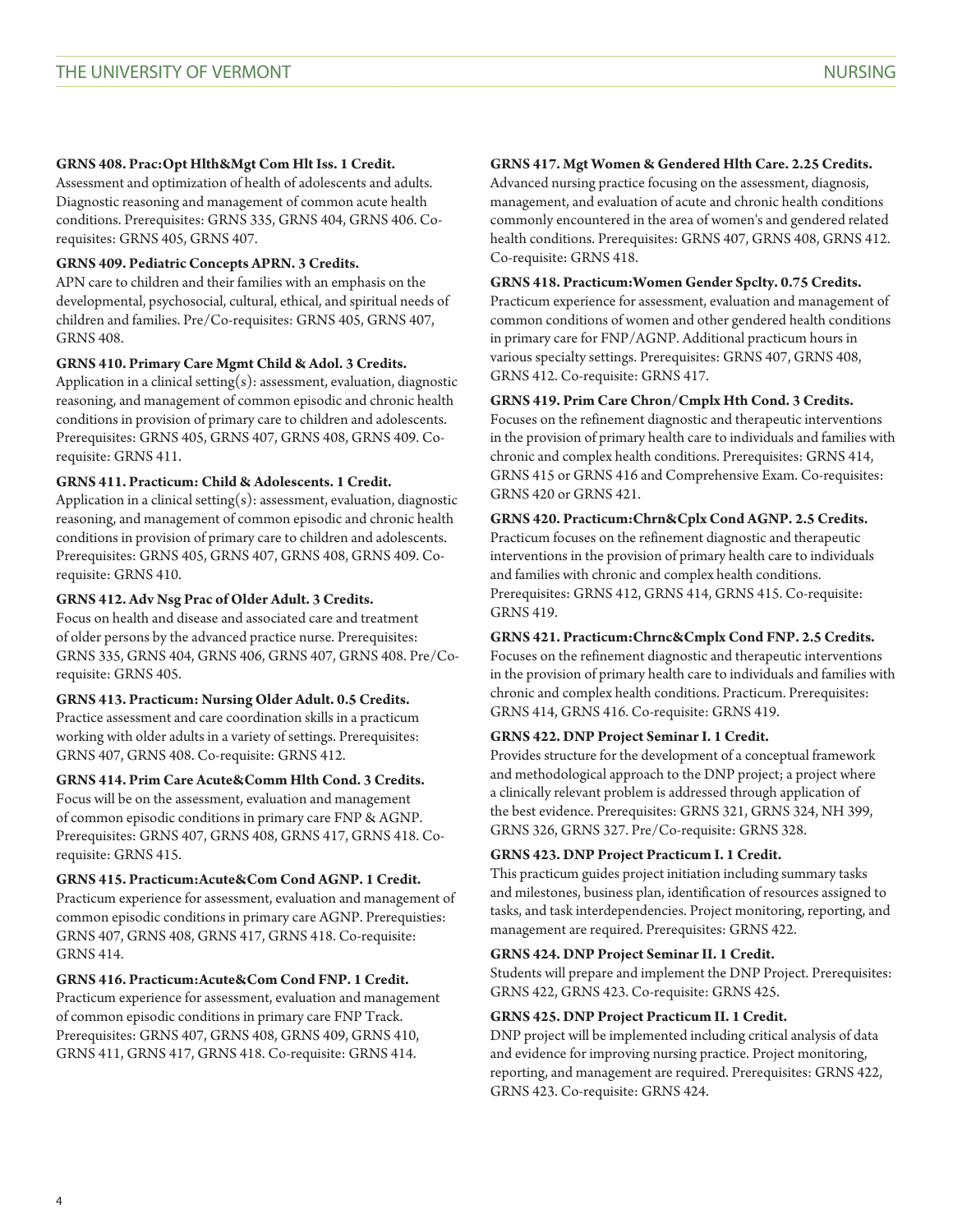## **GRNS 408. Prac:Opt Hlth&Mgt Com Hlt Iss. 1 Credit.**

Assessment and optimization of health of adolescents and adults. Diagnostic reasoning and management of common acute health conditions. Prerequisites: [GRNS 335,](/search/?P=GRNS%20335) [GRNS 404](/search/?P=GRNS%20404), [GRNS 406.](/search/?P=GRNS%20406) Corequisites: [GRNS 405](/search/?P=GRNS%20405), [GRNS 407.](/search/?P=GRNS%20407)

## **GRNS 409. Pediatric Concepts APRN. 3 Credits.**

APN care to children and their families with an emphasis on the developmental, psychosocial, cultural, ethical, and spiritual needs of children and families. Pre/Co-requisites: [GRNS 405,](/search/?P=GRNS%20405) [GRNS 407](/search/?P=GRNS%20407), [GRNS 408.](/search/?P=GRNS%20408)

#### **GRNS 410. Primary Care Mgmt Child & Adol. 3 Credits.**

Application in a clinical setting(s): assessment, evaluation, diagnostic reasoning, and management of common episodic and chronic health conditions in provision of primary care to children and adolescents. Prerequisites: [GRNS 405](/search/?P=GRNS%20405), [GRNS 407](/search/?P=GRNS%20407), [GRNS 408,](/search/?P=GRNS%20408) [GRNS 409](/search/?P=GRNS%20409). Corequisite: [GRNS 411.](/search/?P=GRNS%20411)

## **GRNS 411. Practicum: Child & Adolescents. 1 Credit.**

Application in a clinical setting(s): assessment, evaluation, diagnostic reasoning, and management of common episodic and chronic health conditions in provision of primary care to children and adolescents. Prerequisites: [GRNS 405](/search/?P=GRNS%20405), [GRNS 407](/search/?P=GRNS%20407), [GRNS 408,](/search/?P=GRNS%20408) [GRNS 409](/search/?P=GRNS%20409). Corequisite: [GRNS 410.](/search/?P=GRNS%20410)

## **GRNS 412. Adv Nsg Prac of Older Adult. 3 Credits.**

Focus on health and disease and associated care and treatment of older persons by the advanced practice nurse. Prerequisites: [GRNS 335,](/search/?P=GRNS%20335) [GRNS 404,](/search/?P=GRNS%20404) [GRNS 406](/search/?P=GRNS%20406), [GRNS 407,](/search/?P=GRNS%20407) [GRNS 408](/search/?P=GRNS%20408). Pre/Corequisite: [GRNS 405.](/search/?P=GRNS%20405)

## **GRNS 413. Practicum: Nursing Older Adult. 0.5 Credits.**

Practice assessment and care coordination skills in a practicum working with older adults in a variety of settings. Prerequisites: [GRNS 407,](/search/?P=GRNS%20407) [GRNS 408.](/search/?P=GRNS%20408) Co-requisite: [GRNS 412](/search/?P=GRNS%20412).

## **GRNS 414. Prim Care Acute&Comm Hlth Cond. 3 Credits.**

Focus will be on the assessment, evaluation and management of common episodic conditions in primary care FNP & AGNP. Prerequisites: [GRNS 407](/search/?P=GRNS%20407), [GRNS 408](/search/?P=GRNS%20408), [GRNS 417,](/search/?P=GRNS%20417) [GRNS 418](/search/?P=GRNS%20418). Corequisite: [GRNS 415.](/search/?P=GRNS%20415)

#### **GRNS 415. Practicum:Acute&Com Cond AGNP. 1 Credit.**

Practicum experience for assessment, evaluation and management of common episodic conditions in primary care AGNP. Prerequisties: [GRNS 407,](/search/?P=GRNS%20407) [GRNS 408,](/search/?P=GRNS%20408) [GRNS 417](/search/?P=GRNS%20417), [GRNS 418.](/search/?P=GRNS%20418) Co-requisite: [GRNS 414.](/search/?P=GRNS%20414)

## **GRNS 416. Practicum:Acute&Com Cond FNP. 1 Credit.**

Practicum experience for assessment, evaluation and management of common episodic conditions in primary care FNP Track. Prerequisites: [GRNS 407](/search/?P=GRNS%20407), [GRNS 408](/search/?P=GRNS%20408), [GRNS 409,](/search/?P=GRNS%20409) [GRNS 410](/search/?P=GRNS%20410), [GRNS 411,](/search/?P=GRNS%20411) [GRNS 417,](/search/?P=GRNS%20417) [GRNS 418](/search/?P=GRNS%20418). Co-requisite: [GRNS 414.](/search/?P=GRNS%20414)

## **GRNS 417. Mgt Women & Gendered Hlth Care. 2.25 Credits.**

Advanced nursing practice focusing on the assessment, diagnosis, management, and evaluation of acute and chronic health conditions commonly encountered in the area of women's and gendered related health conditions. Prerequisites: [GRNS 407](/search/?P=GRNS%20407), [GRNS 408,](/search/?P=GRNS%20408) [GRNS 412](/search/?P=GRNS%20412). Co-requisite: [GRNS 418](/search/?P=GRNS%20418).

#### **GRNS 418. Practicum:Women Gender Spclty. 0.75 Credits.**

Practicum experience for assessment, evaluation and management of common conditions of women and other gendered health conditions in primary care for FNP/AGNP. Additional practicum hours in various specialty settings. Prerequisites: [GRNS 407](/search/?P=GRNS%20407), [GRNS 408,](/search/?P=GRNS%20408) [GRNS 412.](/search/?P=GRNS%20412) Co-requisite: [GRNS 417.](/search/?P=GRNS%20417)

## **GRNS 419. Prim Care Chron/Cmplx Hth Cond. 3 Credits.**

Focuses on the refinement diagnostic and therapeutic interventions in the provision of primary health care to individuals and families with chronic and complex health conditions. Prerequisites: [GRNS 414](/search/?P=GRNS%20414), [GRNS 415](/search/?P=GRNS%20415) or [GRNS 416](/search/?P=GRNS%20416) and Comprehensive Exam. Co-requisites: [GRNS 420](/search/?P=GRNS%20420) or [GRNS 421.](/search/?P=GRNS%20421)

#### **GRNS 420. Practicum:Chrn&Cplx Cond AGNP. 2.5 Credits.**

Practicum focuses on the refinement diagnostic and therapeutic interventions in the provision of primary health care to individuals and families with chronic and complex health conditions. Prerequisites: [GRNS 412](/search/?P=GRNS%20412), [GRNS 414](/search/?P=GRNS%20414), [GRNS 415.](/search/?P=GRNS%20415) Co-requisite: [GRNS 419.](/search/?P=GRNS%20419)

#### **GRNS 421. Practicum:Chrnc&Cmplx Cond FNP. 2.5 Credits.**

Focuses on the refinement diagnostic and therapeutic interventions in the provision of primary health care to individuals and families with chronic and complex health conditions. Practicum. Prerequisites: [GRNS 414,](/search/?P=GRNS%20414) [GRNS 416.](/search/?P=GRNS%20416) Co-requisite: [GRNS 419](/search/?P=GRNS%20419).

## **GRNS 422. DNP Project Seminar I. 1 Credit.**

Provides structure for the development of a conceptual framework and methodological approach to the DNP project; a project where a clinically relevant problem is addressed through application of the best evidence. Prerequisites: [GRNS 321,](/search/?P=GRNS%20321) [GRNS 324,](/search/?P=GRNS%20324) [NH 399,](/search/?P=NH%20399) [GRNS 326,](/search/?P=GRNS%20326) [GRNS 327.](/search/?P=GRNS%20327) Pre/Co-requisite: [GRNS 328.](/search/?P=GRNS%20328)

#### **GRNS 423. DNP Project Practicum I. 1 Credit.**

This practicum guides project initiation including summary tasks and milestones, business plan, identification of resources assigned to tasks, and task interdependencies. Project monitoring, reporting, and management are required. Prerequisites: [GRNS 422](/search/?P=GRNS%20422).

#### **GRNS 424. DNP Project Seminar II. 1 Credit.**

Students will prepare and implement the DNP Project. Prerequisites: [GRNS 422,](/search/?P=GRNS%20422) [GRNS 423.](/search/?P=GRNS%20423) Co-requisite: [GRNS 425](/search/?P=GRNS%20425).

## **GRNS 425. DNP Project Practicum II. 1 Credit.**

DNP project will be implemented including critical analysis of data and evidence for improving nursing practice. Project monitoring, reporting, and management are required. Prerequisites: [GRNS 422](/search/?P=GRNS%20422), [GRNS 423.](/search/?P=GRNS%20423) Co-requisite: [GRNS 424.](/search/?P=GRNS%20424)